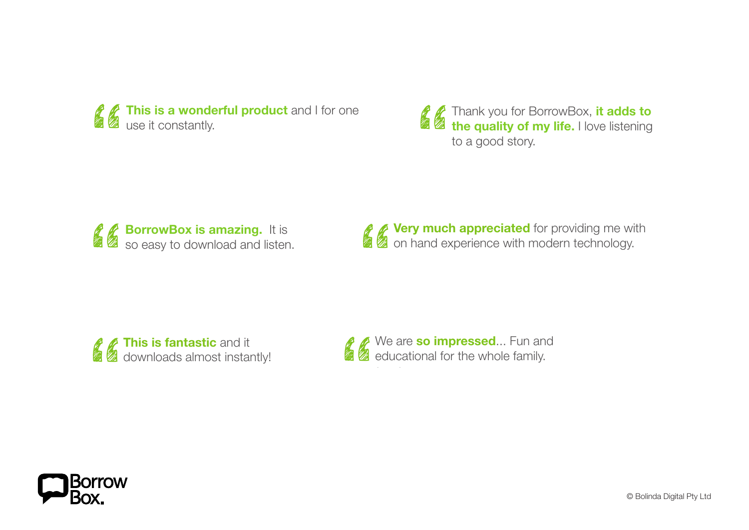

to date. **I'm impressed.** Can you please help the other ebook  $\mathbb{Z}$  Thank you "<br>"<br>" Thank you for BorrowBox, it adds to<br>the quality of my life. I love listening<br>to a good story. phone (Galaxy School Bone (Galaxy Side and Text and Text and Text and Text and Text and Text and Text and most i<br>**The quality of my life** I love listening **straightforward interaction** interaction is to date. **I'm impressed.** Can you please help the other Thank you for Borr<br>
the quality of my<br>
to a good story. the quality of my life. to a good story. Thank you for BorrowBox, it adds to the quality of my life. I love listening

e e o<mark>x is ar</mark><br>downlo<br>downlo azing.<br>azing. lake Macquarie  $\mathbb{Z}$  excellent  $\mathbb{Z}$ wnload<br>...<br>... **Thank Solution Schools Server Server Schools Solution Server Server Server Server Server Server Server Server Server Server Server Server Server Server Server Server Server Server Server Server Server Server Server Server** so easy to download a **BorrowBox is amazing.** It is so easy to download and listen.

mazing. It is fantastic integral the  $\ell$  very much appreciated the  $\ell$ pad and listen. **The size of the superience with Very much appreciated** for providing me with<br> **2** on hand experience with modern technology. on hand experience with modern technology.  $\mathscr{C}$  Very much apprecia MelBourne 2 2 V lake Macquarie  $\mathcal{L}$  and noten.  $\mathcal{L}$  be both and  $\mathcal{L}$ 

**This is fantastic** and it<br> **Z** downloads almost instar **This is fantastic** and it<br>downloads almost instantly! the **download quick, usage easy and navigation great** especially with **browskip and search options.** We also see that in the integrated from with the integrated from with the integrated from with the integrated from with the integrated from with the integrated from with the integrated from w  $\sqrt{2}$  with search search  $\sqrt{2}$  and download statements and download functions in its can function f**antas**t<br>ids alm  $\blacksquare$ 

ssed..<br>e whol . Fun and **Tessed**<br>The whole familing the whole familing the state in the state is a state of the state of the state in the state<br>"The state of the state in the state in the state is a state in the state in the state in the state in We are **so impressed**... Fun and<br> **Example 3** educational for the whole family. educational for the whole family. the and it a second quickly and a second the second second the second second second second second second second second second second second second second second second second second second second second second second secon **be** did it is a search of the integrated for the whole family integrated from with  $\mathbf{z}$  and  $\mathbf{z}$  and  $\mathbf{z}$  and  $\mathbf{z}$  and  $\mathbf{z}$  and  $\mathbf{z}$  and  $\mathbf{z}$  and  $\mathbf{z}$  and  $\mathbf{z}$  and  $\mathbf{z}$  and  $\mathbf{z}$  $\mathbb{Z}$  executions for and download functions  $\mathbb{Z}$  and  $\mathbb{Z}$  consequence for and  $\mathbb{Z}$  functions  $\mathbb{Z}$  and  $\mathbb{Z}$ 

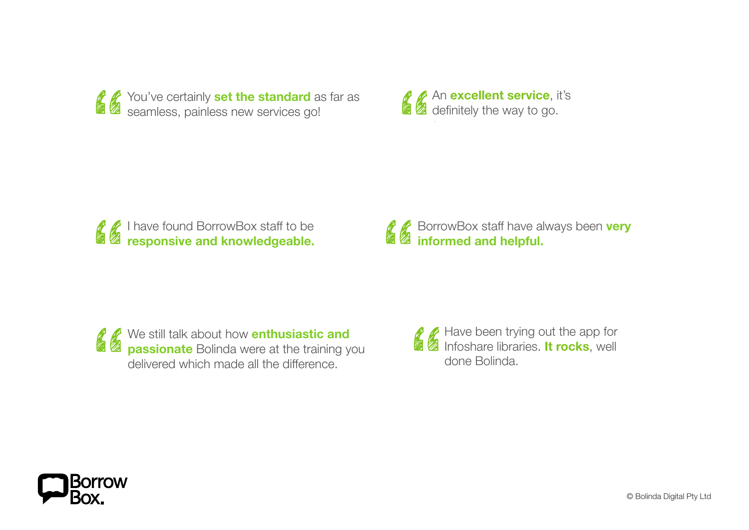

An **excellent service**, it's<br> **A** definitely the way to go. definitely the way to go.

Goldfields



**Thank Superset Section**<br> **Thank Superset Section**<br> **The Superset Section Section Section Section Section Section Section Section Section Section Section Section** informed and helpful BorrowBox staff have always been very informed and helpful.

find it easy to use  $\mathbb{R}$  to use. That is easy to use. That is easy to use. *d* We still talk about how enti  $\epsilon$ *PP* **Passionate** Bolinda were at We still talk about<br> **Thank you for the passionate** Boling<br>
delivered which may **passionate** Bolinda we delivered which made all the difference.<sup>33</sup> We still talk about how **enthusiastic and passionate** Bolinda were at the training you i**nd**<br>ng you<br>e.

Have been trying out the app for<br>Infoshare libraries. It rocks, well<br>done Bolinda. Infoshare libraries. **It rocks**, well done Bolinda.  $\overline{a}$   $\overline{b}$  love been to use out! lake Macquarie